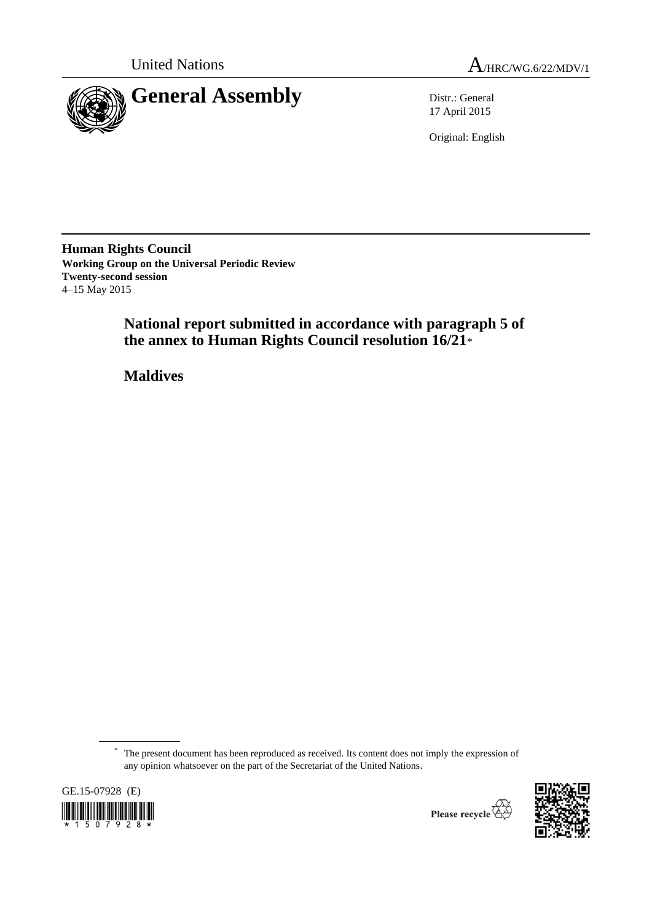



17 April 2015

Original: English

**Human Rights Council Working Group on the Universal Periodic Review Twenty-second session** 4–15 May 2015

> **National report submitted in accordance with paragraph 5 of the annex to Human Rights Council resolution 16/21**\*

**Maldives**

\* The present document has been reproduced as received. Its content does not imply the expression of any opinion whatsoever on the part of the Secretariat of the United Nations.





Please recycle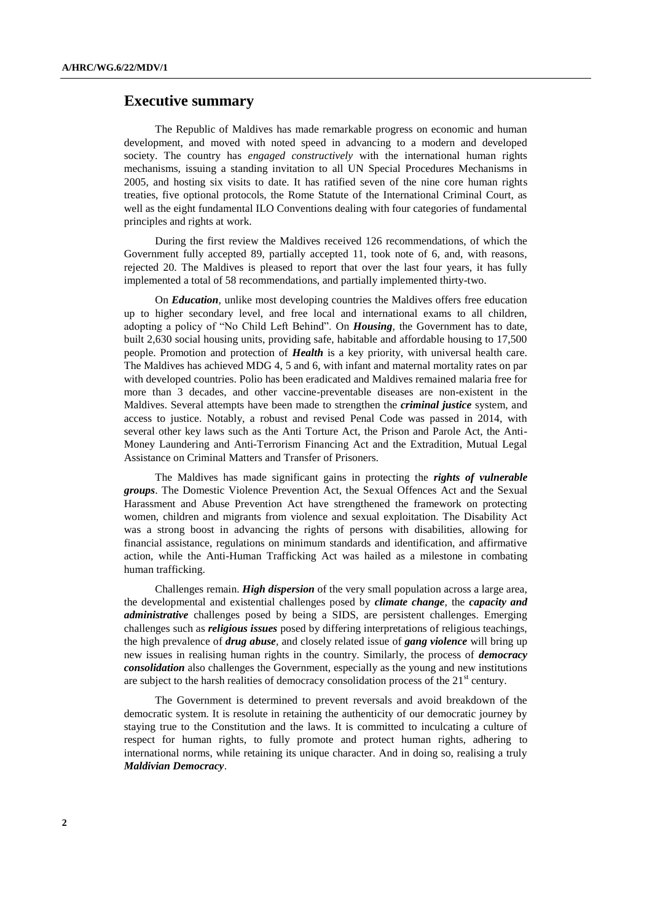# **Executive summary**

The Republic of Maldives has made remarkable progress on economic and human development, and moved with noted speed in advancing to a modern and developed society. The country has *engaged constructively* with the international human rights mechanisms, issuing a standing invitation to all UN Special Procedures Mechanisms in 2005, and hosting six visits to date. It has ratified seven of the nine core human rights treaties, five optional protocols, the Rome Statute of the International Criminal Court, as well as the eight fundamental ILO Conventions dealing with four categories of fundamental principles and rights at work.

During the first review the Maldives received 126 recommendations, of which the Government fully accepted 89, partially accepted 11, took note of 6, and, with reasons, rejected 20. The Maldives is pleased to report that over the last four years, it has fully implemented a total of 58 recommendations, and partially implemented thirty-two.

On *Education,* unlike most developing countries the Maldives offers free education up to higher secondary level, and free local and international exams to all children, adopting a policy of "No Child Left Behind". On *Housing,* the Government has to date, built 2,630 social housing units, providing safe, habitable and affordable housing to 17,500 people. Promotion and protection of *Health* is a key priority, with universal health care. The Maldives has achieved MDG 4, 5 and 6, with infant and maternal mortality rates on par with developed countries. Polio has been eradicated and Maldives remained malaria free for more than 3 decades, and other vaccine-preventable diseases are non-existent in the Maldives. Several attempts have been made to strengthen the *criminal justice* system, and access to justice. Notably, a robust and revised Penal Code was passed in 2014, with several other key laws such as the Anti Torture Act, the Prison and Parole Act, the Anti-Money Laundering and Anti-Terrorism Financing Act and the Extradition, Mutual Legal Assistance on Criminal Matters and Transfer of Prisoners.

The Maldives has made significant gains in protecting the *rights of vulnerable groups*. The Domestic Violence Prevention Act, the Sexual Offences Act and the Sexual Harassment and Abuse Prevention Act have strengthened the framework on protecting women, children and migrants from violence and sexual exploitation. The Disability Act was a strong boost in advancing the rights of persons with disabilities, allowing for financial assistance, regulations on minimum standards and identification, and affirmative action, while the Anti-Human Trafficking Act was hailed as a milestone in combating human trafficking.

Challenges remain. *High dispersion* of the very small population across a large area, the developmental and existential challenges posed by *climate change,* the *capacity and administrative* challenges posed by being a SIDS, are persistent challenges. Emerging challenges such as *religious issues* posed by differing interpretations of religious teachings, the high prevalence of *drug abuse,* and closely related issue of *gang violence* will bring up new issues in realising human rights in the country. Similarly, the process of *democracy consolidation* also challenges the Government, especially as the young and new institutions are subject to the harsh realities of democracy consolidation process of the  $21<sup>st</sup>$  century.

The Government is determined to prevent reversals and avoid breakdown of the democratic system. It is resolute in retaining the authenticity of our democratic journey by staying true to the Constitution and the laws. It is committed to inculcating a culture of respect for human rights, to fully promote and protect human rights, adhering to international norms, while retaining its unique character. And in doing so, realising a truly *Maldivian Democracy*.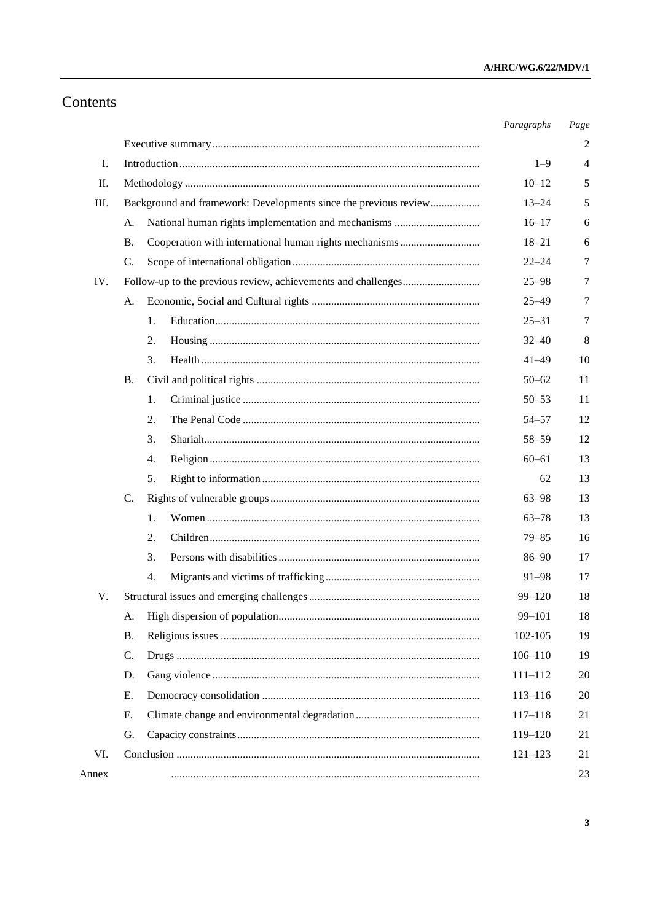# Contents

|       |                                                                  |    | Paragraphs  | Page |
|-------|------------------------------------------------------------------|----|-------------|------|
|       |                                                                  |    |             | 2    |
| Ι.    |                                                                  |    | $1 - 9$     | 4    |
| П.    |                                                                  |    |             | 5    |
| Ш.    | Background and framework: Developments since the previous review |    | $13 - 24$   | 5    |
|       | A.                                                               |    | $16 - 17$   | 6    |
|       | <b>B.</b>                                                        |    | $18 - 21$   | 6    |
|       | C.                                                               |    | $22 - 24$   | 7    |
| IV.   |                                                                  |    | $25 - 98$   | 7    |
|       | А.                                                               |    | $25 - 49$   | 7    |
|       |                                                                  | 1. | $25 - 31$   | 7    |
|       |                                                                  | 2. | $32 - 40$   | 8    |
|       |                                                                  | 3. | $41 - 49$   | 10   |
|       | <b>B.</b>                                                        |    | $50 - 62$   | 11   |
|       |                                                                  | 1. | $50 - 53$   | 11   |
|       |                                                                  | 2. | $54 - 57$   | 12   |
|       |                                                                  | 3. | $58 - 59$   | 12   |
|       |                                                                  | 4. | $60 - 61$   | 13   |
|       |                                                                  | 5. | 62          | 13   |
|       | C.                                                               |    | $63 - 98$   | 13   |
|       |                                                                  | 1. | $63 - 78$   | 13   |
|       |                                                                  | 2. | $79 - 85$   | 16   |
|       |                                                                  | 3. | $86 - 90$   | 17   |
|       |                                                                  | 4. | 91-98       | 17   |
| V.    |                                                                  |    | $99 - 120$  | 18   |
|       | A.                                                               |    | 99-101      | 18   |
|       | <b>B.</b>                                                        |    | 102-105     | 19   |
|       | C.                                                               |    | $106 - 110$ | 19   |
|       | D.                                                               |    | $111 - 112$ | 20   |
|       | E.                                                               |    | $113 - 116$ | 20   |
|       | F.                                                               |    | $117 - 118$ | 21   |
|       | G.                                                               |    | 119-120     | 21   |
| VI.   |                                                                  |    | $121 - 123$ | 21   |
| Annex |                                                                  |    |             | 23   |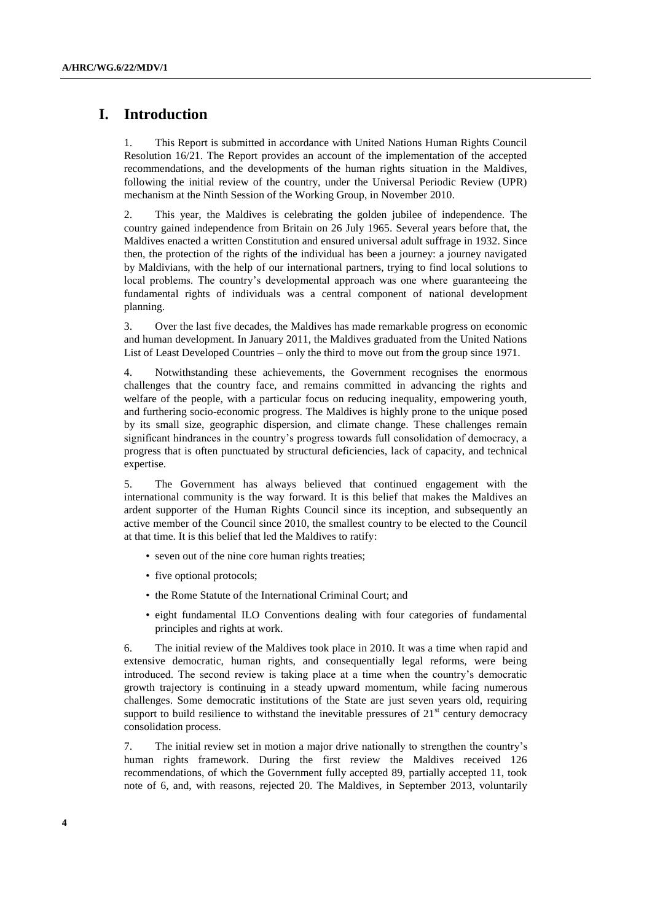# **I. Introduction**

1. This Report is submitted in accordance with United Nations Human Rights Council Resolution 16/21. The Report provides an account of the implementation of the accepted recommendations, and the developments of the human rights situation in the Maldives, following the initial review of the country, under the Universal Periodic Review (UPR) mechanism at the Ninth Session of the Working Group, in November 2010.

2. This year, the Maldives is celebrating the golden jubilee of independence. The country gained independence from Britain on 26 July 1965. Several years before that, the Maldives enacted a written Constitution and ensured universal adult suffrage in 1932. Since then, the protection of the rights of the individual has been a journey: a journey navigated by Maldivians, with the help of our international partners, trying to find local solutions to local problems. The country's developmental approach was one where guaranteeing the fundamental rights of individuals was a central component of national development planning.

3. Over the last five decades, the Maldives has made remarkable progress on economic and human development. In January 2011, the Maldives graduated from the United Nations List of Least Developed Countries – only the third to move out from the group since 1971.

4. Notwithstanding these achievements, the Government recognises the enormous challenges that the country face, and remains committed in advancing the rights and welfare of the people, with a particular focus on reducing inequality, empowering youth, and furthering socio-economic progress. The Maldives is highly prone to the unique posed by its small size, geographic dispersion, and climate change. These challenges remain significant hindrances in the country's progress towards full consolidation of democracy, a progress that is often punctuated by structural deficiencies, lack of capacity, and technical expertise.

5. The Government has always believed that continued engagement with the international community is the way forward. It is this belief that makes the Maldives an ardent supporter of the Human Rights Council since its inception, and subsequently an active member of the Council since 2010, the smallest country to be elected to the Council at that time. It is this belief that led the Maldives to ratify:

- seven out of the nine core human rights treaties;
- five optional protocols;
- the Rome Statute of the International Criminal Court; and
- eight fundamental ILO Conventions dealing with four categories of fundamental principles and rights at work.

6. The initial review of the Maldives took place in 2010. It was a time when rapid and extensive democratic, human rights, and consequentially legal reforms, were being introduced. The second review is taking place at a time when the country's democratic growth trajectory is continuing in a steady upward momentum, while facing numerous challenges. Some democratic institutions of the State are just seven years old, requiring support to build resilience to withstand the inevitable pressures of  $21<sup>st</sup>$  century democracy consolidation process.

7. The initial review set in motion a major drive nationally to strengthen the country's human rights framework. During the first review the Maldives received 126 recommendations, of which the Government fully accepted 89, partially accepted 11, took note of 6, and, with reasons, rejected 20. The Maldives, in September 2013, voluntarily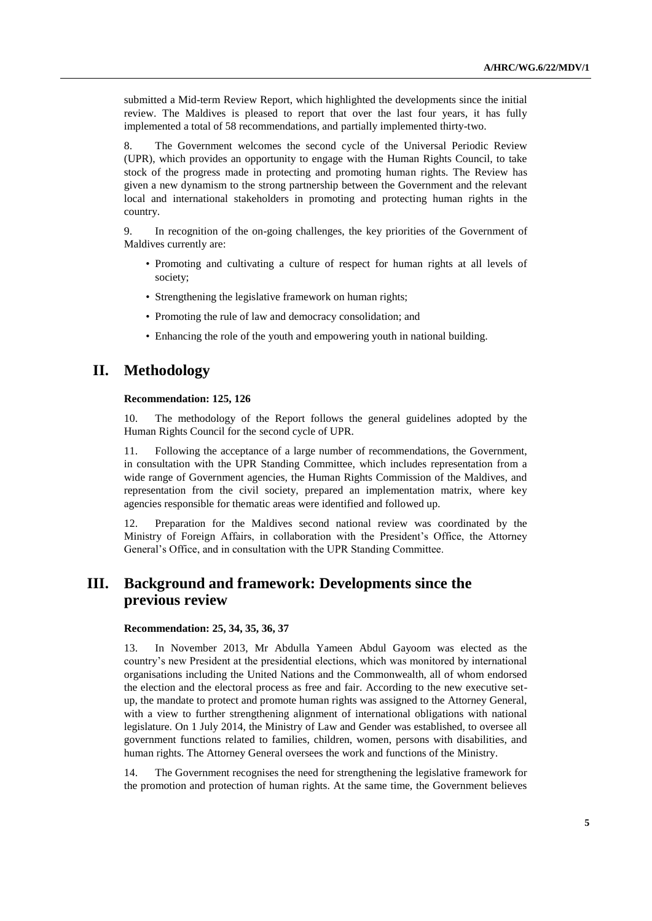submitted a Mid-term Review Report, which highlighted the developments since the initial review. The Maldives is pleased to report that over the last four years, it has fully implemented a total of 58 recommendations, and partially implemented thirty-two.

8. The Government welcomes the second cycle of the Universal Periodic Review (UPR), which provides an opportunity to engage with the Human Rights Council, to take stock of the progress made in protecting and promoting human rights. The Review has given a new dynamism to the strong partnership between the Government and the relevant local and international stakeholders in promoting and protecting human rights in the country.

9. In recognition of the on-going challenges, the key priorities of the Government of Maldives currently are:

- Promoting and cultivating a culture of respect for human rights at all levels of society;
- Strengthening the legislative framework on human rights;
- Promoting the rule of law and democracy consolidation; and
- Enhancing the role of the youth and empowering youth in national building.

# **II. Methodology**

#### **Recommendation: 125, 126**

10. The methodology of the Report follows the general guidelines adopted by the Human Rights Council for the second cycle of UPR.

11. Following the acceptance of a large number of recommendations, the Government, in consultation with the UPR Standing Committee, which includes representation from a wide range of Government agencies, the Human Rights Commission of the Maldives, and representation from the civil society, prepared an implementation matrix, where key agencies responsible for thematic areas were identified and followed up.

12. Preparation for the Maldives second national review was coordinated by the Ministry of Foreign Affairs, in collaboration with the President's Office, the Attorney General's Office, and in consultation with the UPR Standing Committee.

# **III. Background and framework: Developments since the previous review**

#### **Recommendation: 25, 34, 35, 36, 37**

13. In November 2013, Mr Abdulla Yameen Abdul Gayoom was elected as the country's new President at the presidential elections, which was monitored by international organisations including the United Nations and the Commonwealth, all of whom endorsed the election and the electoral process as free and fair. According to the new executive setup, the mandate to protect and promote human rights was assigned to the Attorney General, with a view to further strengthening alignment of international obligations with national legislature. On 1 July 2014, the Ministry of Law and Gender was established, to oversee all government functions related to families, children, women, persons with disabilities, and human rights. The Attorney General oversees the work and functions of the Ministry.

14. The Government recognises the need for strengthening the legislative framework for the promotion and protection of human rights. At the same time, the Government believes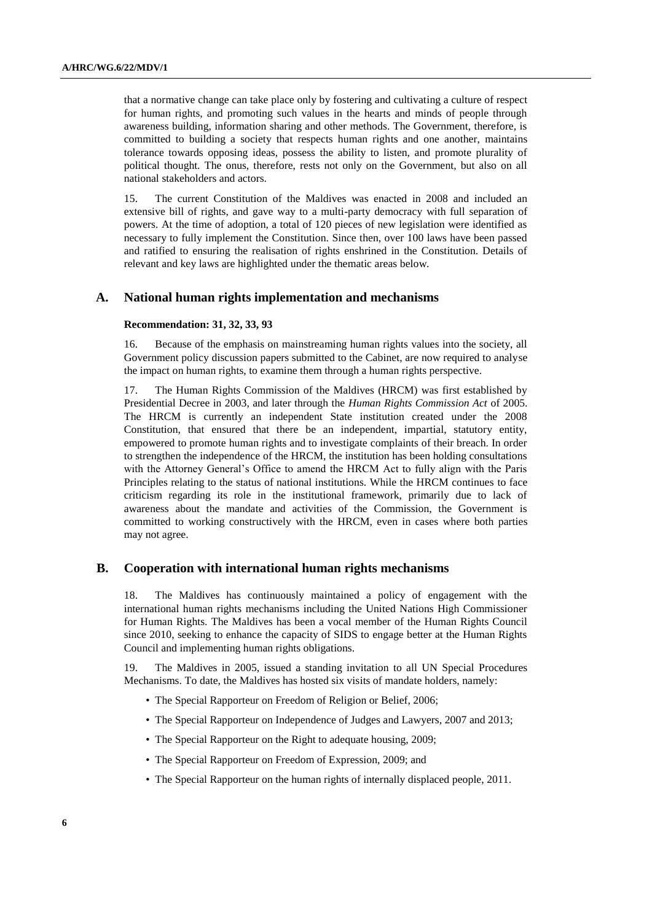that a normative change can take place only by fostering and cultivating a culture of respect for human rights, and promoting such values in the hearts and minds of people through awareness building, information sharing and other methods. The Government, therefore, is committed to building a society that respects human rights and one another, maintains tolerance towards opposing ideas, possess the ability to listen, and promote plurality of political thought. The onus, therefore, rests not only on the Government, but also on all national stakeholders and actors.

15. The current Constitution of the Maldives was enacted in 2008 and included an extensive bill of rights, and gave way to a multi-party democracy with full separation of powers. At the time of adoption, a total of 120 pieces of new legislation were identified as necessary to fully implement the Constitution. Since then, over 100 laws have been passed and ratified to ensuring the realisation of rights enshrined in the Constitution. Details of relevant and key laws are highlighted under the thematic areas below.

## **A. National human rights implementation and mechanisms**

#### **Recommendation: 31, 32, 33, 93**

16. Because of the emphasis on mainstreaming human rights values into the society, all Government policy discussion papers submitted to the Cabinet, are now required to analyse the impact on human rights, to examine them through a human rights perspective.

17. The Human Rights Commission of the Maldives (HRCM) was first established by Presidential Decree in 2003, and later through the *Human Rights Commission Act* of 2005. The HRCM is currently an independent State institution created under the 2008 Constitution, that ensured that there be an independent, impartial, statutory entity, empowered to promote human rights and to investigate complaints of their breach. In order to strengthen the independence of the HRCM, the institution has been holding consultations with the Attorney General's Office to amend the HRCM Act to fully align with the Paris Principles relating to the status of national institutions. While the HRCM continues to face criticism regarding its role in the institutional framework, primarily due to lack of awareness about the mandate and activities of the Commission, the Government is committed to working constructively with the HRCM, even in cases where both parties may not agree.

## **B. Cooperation with international human rights mechanisms**

18. The Maldives has continuously maintained a policy of engagement with the international human rights mechanisms including the United Nations High Commissioner for Human Rights. The Maldives has been a vocal member of the Human Rights Council since 2010, seeking to enhance the capacity of SIDS to engage better at the Human Rights Council and implementing human rights obligations.

19. The Maldives in 2005, issued a standing invitation to all UN Special Procedures Mechanisms. To date, the Maldives has hosted six visits of mandate holders, namely:

- The Special Rapporteur on Freedom of Religion or Belief, 2006;
- The Special Rapporteur on Independence of Judges and Lawyers, 2007 and 2013;
- The Special Rapporteur on the Right to adequate housing, 2009;
- The Special Rapporteur on Freedom of Expression, 2009; and
- The Special Rapporteur on the human rights of internally displaced people, 2011.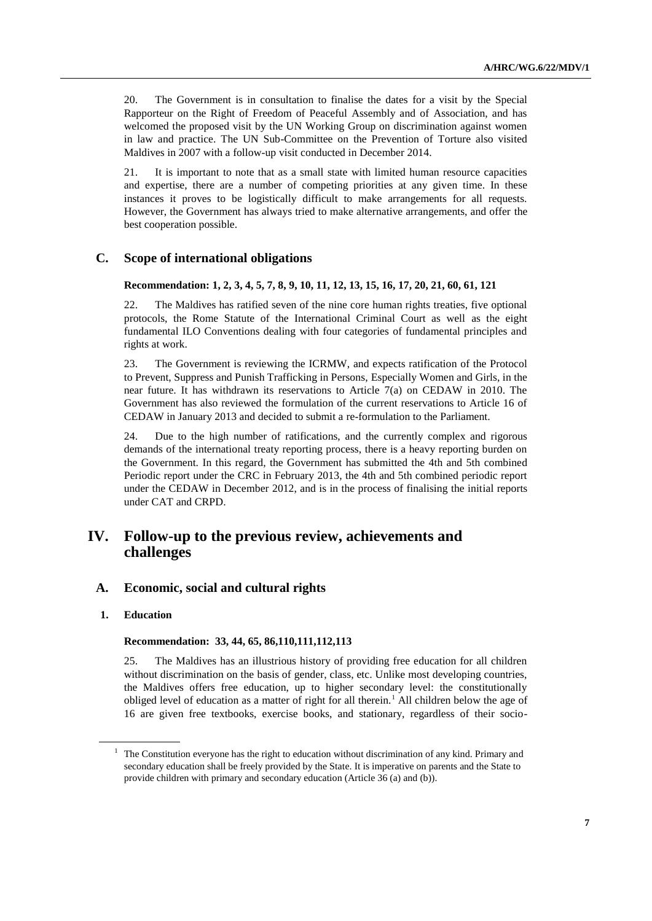20. The Government is in consultation to finalise the dates for a visit by the Special Rapporteur on the Right of Freedom of Peaceful Assembly and of Association, and has welcomed the proposed visit by the UN Working Group on discrimination against women in law and practice. The UN Sub-Committee on the Prevention of Torture also visited Maldives in 2007 with a follow-up visit conducted in December 2014.

21. It is important to note that as a small state with limited human resource capacities and expertise, there are a number of competing priorities at any given time. In these instances it proves to be logistically difficult to make arrangements for all requests. However, the Government has always tried to make alternative arrangements, and offer the best cooperation possible.

# **C. Scope of international obligations**

# **Recommendation: 1, 2, 3, 4, 5, 7, 8, 9, 10, 11, 12, 13, 15, 16, 17, 20, 21, 60, 61, 121**

22. The Maldives has ratified seven of the nine core human rights treaties, five optional protocols, the Rome Statute of the International Criminal Court as well as the eight fundamental ILO Conventions dealing with four categories of fundamental principles and rights at work.

23. The Government is reviewing the ICRMW, and expects ratification of the Protocol to Prevent, Suppress and Punish Trafficking in Persons, Especially Women and Girls, in the near future. It has withdrawn its reservations to Article 7(a) on CEDAW in 2010. The Government has also reviewed the formulation of the current reservations to Article 16 of CEDAW in January 2013 and decided to submit a re-formulation to the Parliament.

24. Due to the high number of ratifications, and the currently complex and rigorous demands of the international treaty reporting process, there is a heavy reporting burden on the Government. In this regard, the Government has submitted the 4th and 5th combined Periodic report under the CRC in February 2013, the 4th and 5th combined periodic report under the CEDAW in December 2012, and is in the process of finalising the initial reports under CAT and CRPD.

# **IV. Follow-up to the previous review, achievements and challenges**

# **A. Economic, social and cultural rights**

# **1. Education**

### **Recommendation: 33, 44, 65, 86,110,111,112,113**

25. The Maldives has an illustrious history of providing free education for all children without discrimination on the basis of gender, class, etc. Unlike most developing countries, the Maldives offers free education, up to higher secondary level: the constitutionally obliged level of education as a matter of right for all therein.<sup>1</sup> All children below the age of 16 are given free textbooks, exercise books, and stationary, regardless of their socio-

<sup>&</sup>lt;sup>1</sup> The Constitution everyone has the right to education without discrimination of any kind. Primary and secondary education shall be freely provided by the State. It is imperative on parents and the State to provide children with primary and secondary education (Article 36 (a) and (b)).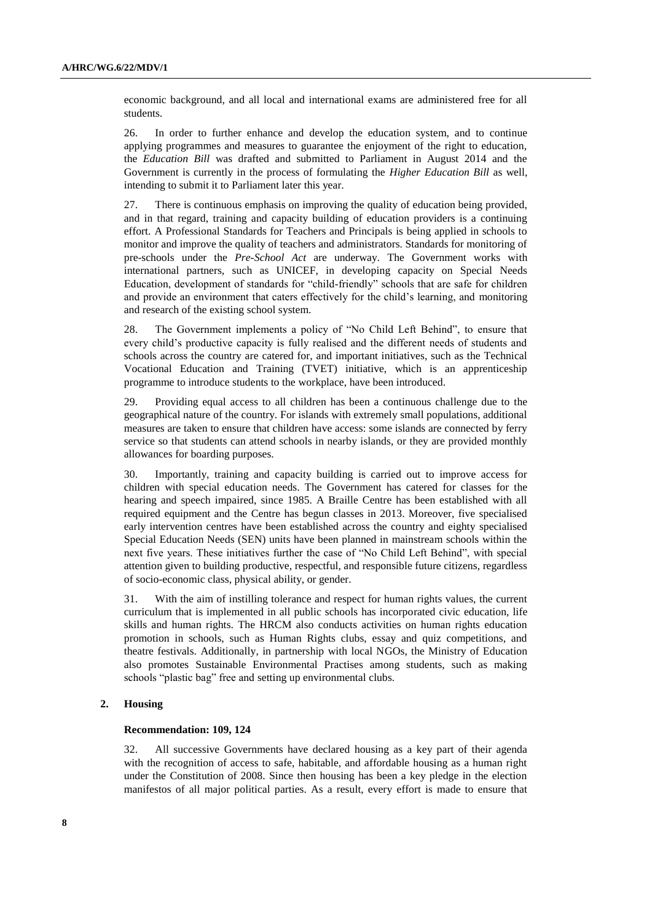economic background, and all local and international exams are administered free for all students.

26. In order to further enhance and develop the education system, and to continue applying programmes and measures to guarantee the enjoyment of the right to education, the *Education Bill* was drafted and submitted to Parliament in August 2014 and the Government is currently in the process of formulating the *Higher Education Bill* as well, intending to submit it to Parliament later this year.

27. There is continuous emphasis on improving the quality of education being provided, and in that regard, training and capacity building of education providers is a continuing effort. A Professional Standards for Teachers and Principals is being applied in schools to monitor and improve the quality of teachers and administrators. Standards for monitoring of pre-schools under the *Pre-School Act* are underway. The Government works with international partners, such as UNICEF, in developing capacity on Special Needs Education, development of standards for "child-friendly" schools that are safe for children and provide an environment that caters effectively for the child's learning, and monitoring and research of the existing school system.

28. The Government implements a policy of "No Child Left Behind", to ensure that every child's productive capacity is fully realised and the different needs of students and schools across the country are catered for, and important initiatives, such as the Technical Vocational Education and Training (TVET) initiative, which is an apprenticeship programme to introduce students to the workplace, have been introduced.

29. Providing equal access to all children has been a continuous challenge due to the geographical nature of the country. For islands with extremely small populations, additional measures are taken to ensure that children have access: some islands are connected by ferry service so that students can attend schools in nearby islands, or they are provided monthly allowances for boarding purposes.

30. Importantly, training and capacity building is carried out to improve access for children with special education needs. The Government has catered for classes for the hearing and speech impaired, since 1985. A Braille Centre has been established with all required equipment and the Centre has begun classes in 2013. Moreover, five specialised early intervention centres have been established across the country and eighty specialised Special Education Needs (SEN) units have been planned in mainstream schools within the next five years. These initiatives further the case of "No Child Left Behind", with special attention given to building productive, respectful, and responsible future citizens, regardless of socio-economic class, physical ability, or gender.

31. With the aim of instilling tolerance and respect for human rights values, the current curriculum that is implemented in all public schools has incorporated civic education, life skills and human rights. The HRCM also conducts activities on human rights education promotion in schools, such as Human Rights clubs, essay and quiz competitions, and theatre festivals. Additionally, in partnership with local NGOs, the Ministry of Education also promotes Sustainable Environmental Practises among students, such as making schools "plastic bag" free and setting up environmental clubs.

### **2. Housing**

### **Recommendation: 109, 124**

32. All successive Governments have declared housing as a key part of their agenda with the recognition of access to safe, habitable, and affordable housing as a human right under the Constitution of 2008. Since then housing has been a key pledge in the election manifestos of all major political parties. As a result, every effort is made to ensure that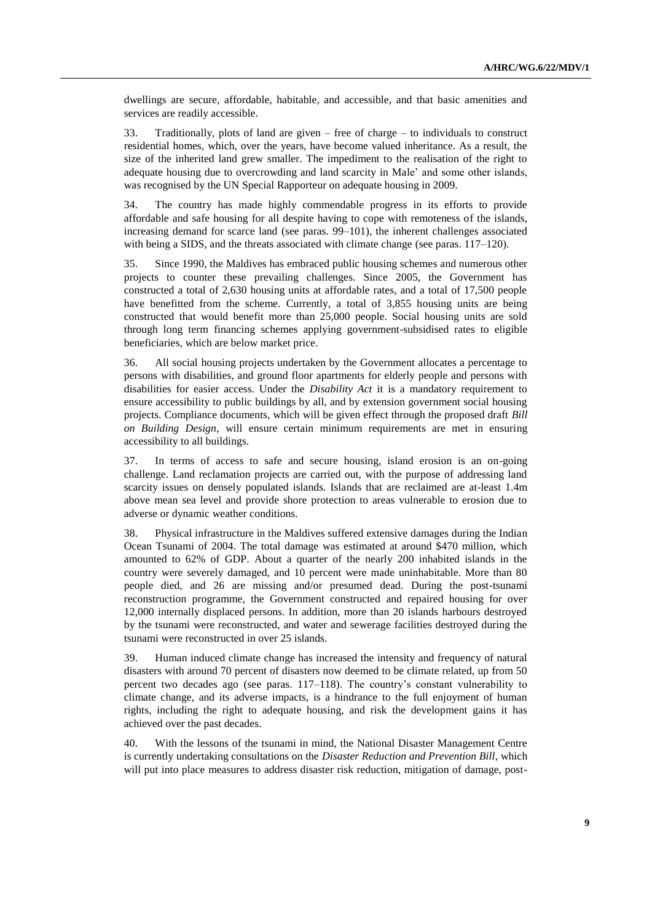dwellings are secure, affordable, habitable, and accessible, and that basic amenities and services are readily accessible.

33. Traditionally, plots of land are given – free of charge – to individuals to construct residential homes, which, over the years, have become valued inheritance. As a result, the size of the inherited land grew smaller. The impediment to the realisation of the right to adequate housing due to overcrowding and land scarcity in Male' and some other islands, was recognised by the UN Special Rapporteur on adequate housing in 2009.

34. The country has made highly commendable progress in its efforts to provide affordable and safe housing for all despite having to cope with remoteness of the islands, increasing demand for scarce land (see paras. 99–101), the inherent challenges associated with being a SIDS, and the threats associated with climate change (see paras. 117–120).

35. Since 1990, the Maldives has embraced public housing schemes and numerous other projects to counter these prevailing challenges. Since 2005, the Government has constructed a total of 2,630 housing units at affordable rates, and a total of 17,500 people have benefitted from the scheme. Currently, a total of 3,855 housing units are being constructed that would benefit more than 25,000 people. Social housing units are sold through long term financing schemes applying government-subsidised rates to eligible beneficiaries, which are below market price.

36. All social housing projects undertaken by the Government allocates a percentage to persons with disabilities, and ground floor apartments for elderly people and persons with disabilities for easier access. Under the *Disability Act* it is a mandatory requirement to ensure accessibility to public buildings by all, and by extension government social housing projects. Compliance documents, which will be given effect through the proposed draft *Bill on Building Design*, will ensure certain minimum requirements are met in ensuring accessibility to all buildings.

37. In terms of access to safe and secure housing, island erosion is an on-going challenge. Land reclamation projects are carried out, with the purpose of addressing land scarcity issues on densely populated islands. Islands that are reclaimed are at-least 1.4m above mean sea level and provide shore protection to areas vulnerable to erosion due to adverse or dynamic weather conditions.

38. Physical infrastructure in the Maldives suffered extensive damages during the Indian Ocean Tsunami of 2004. The total damage was estimated at around \$470 million, which amounted to 62% of GDP. About a quarter of the nearly 200 inhabited islands in the country were severely damaged, and 10 percent were made uninhabitable. More than 80 people died, and 26 are missing and/or presumed dead. During the post-tsunami reconstruction programme, the Government constructed and repaired housing for over 12,000 internally displaced persons. In addition, more than 20 islands harbours destroyed by the tsunami were reconstructed, and water and sewerage facilities destroyed during the tsunami were reconstructed in over 25 islands.

39. Human induced climate change has increased the intensity and frequency of natural disasters with around 70 percent of disasters now deemed to be climate related, up from 50 percent two decades ago (see paras. 117–118). The country's constant vulnerability to climate change, and its adverse impacts, is a hindrance to the full enjoyment of human rights, including the right to adequate housing, and risk the development gains it has achieved over the past decades.

40. With the lessons of the tsunami in mind, the National Disaster Management Centre is currently undertaking consultations on the *Disaster Reduction and Prevention Bill*, which will put into place measures to address disaster risk reduction, mitigation of damage, post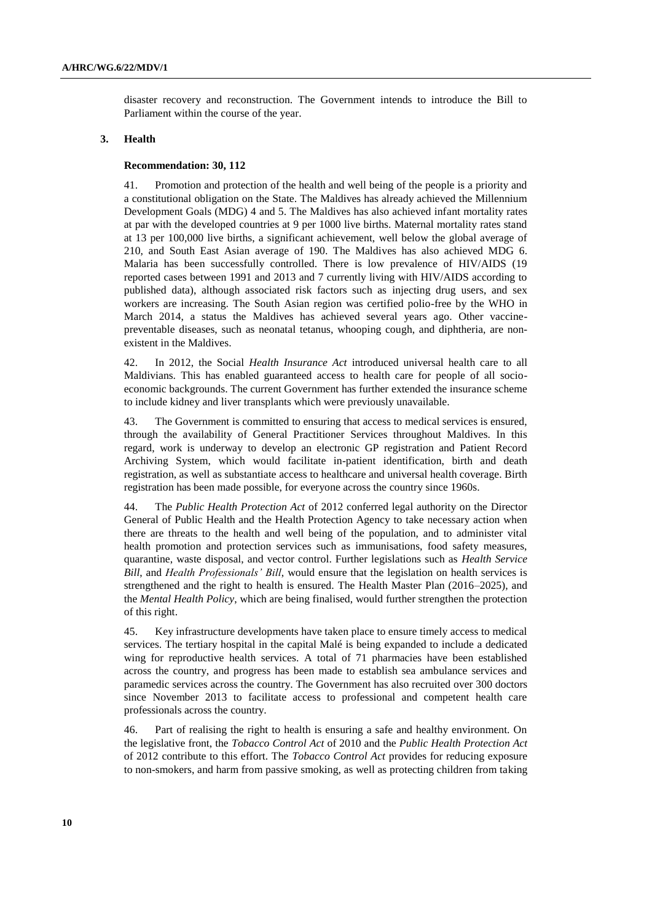disaster recovery and reconstruction. The Government intends to introduce the Bill to Parliament within the course of the year.

## **3. Health**

#### **Recommendation: 30, 112**

41. Promotion and protection of the health and well being of the people is a priority and a constitutional obligation on the State. The Maldives has already achieved the Millennium Development Goals (MDG) 4 and 5. The Maldives has also achieved infant mortality rates at par with the developed countries at 9 per 1000 live births. Maternal mortality rates stand at 13 per 100,000 live births, a significant achievement, well below the global average of 210, and South East Asian average of 190. The Maldives has also achieved MDG 6. Malaria has been successfully controlled. There is low prevalence of HIV/AIDS (19 reported cases between 1991 and 2013 and 7 currently living with HIV/AIDS according to published data), although associated risk factors such as injecting drug users, and sex workers are increasing. The South Asian region was certified polio-free by the WHO in March 2014, a status the Maldives has achieved several years ago. Other vaccinepreventable diseases, such as neonatal tetanus, whooping cough, and diphtheria, are nonexistent in the Maldives.

42. In 2012, the Social *Health Insurance Act* introduced universal health care to all Maldivians. This has enabled guaranteed access to health care for people of all socioeconomic backgrounds. The current Government has further extended the insurance scheme to include kidney and liver transplants which were previously unavailable.

43. The Government is committed to ensuring that access to medical services is ensured, through the availability of General Practitioner Services throughout Maldives. In this regard, work is underway to develop an electronic GP registration and Patient Record Archiving System, which would facilitate in-patient identification, birth and death registration, as well as substantiate access to healthcare and universal health coverage. Birth registration has been made possible, for everyone across the country since 1960s.

44. The *Public Health Protection Act* of 2012 conferred legal authority on the Director General of Public Health and the Health Protection Agency to take necessary action when there are threats to the health and well being of the population, and to administer vital health promotion and protection services such as immunisations, food safety measures, quarantine, waste disposal, and vector control. Further legislations such as *Health Service Bill*, and *Health Professionals' Bill*, would ensure that the legislation on health services is strengthened and the right to health is ensured. The Health Master Plan (2016–2025), and the *Mental Health Policy*, which are being finalised, would further strengthen the protection of this right.

45. Key infrastructure developments have taken place to ensure timely access to medical services. The tertiary hospital in the capital Malé is being expanded to include a dedicated wing for reproductive health services. A total of 71 pharmacies have been established across the country, and progress has been made to establish sea ambulance services and paramedic services across the country. The Government has also recruited over 300 doctors since November 2013 to facilitate access to professional and competent health care professionals across the country.

46. Part of realising the right to health is ensuring a safe and healthy environment. On the legislative front, the *Tobacco Control Act* of 2010 and the *Public Health Protection Act*  of 2012 contribute to this effort. The *Tobacco Control Act* provides for reducing exposure to non-smokers, and harm from passive smoking, as well as protecting children from taking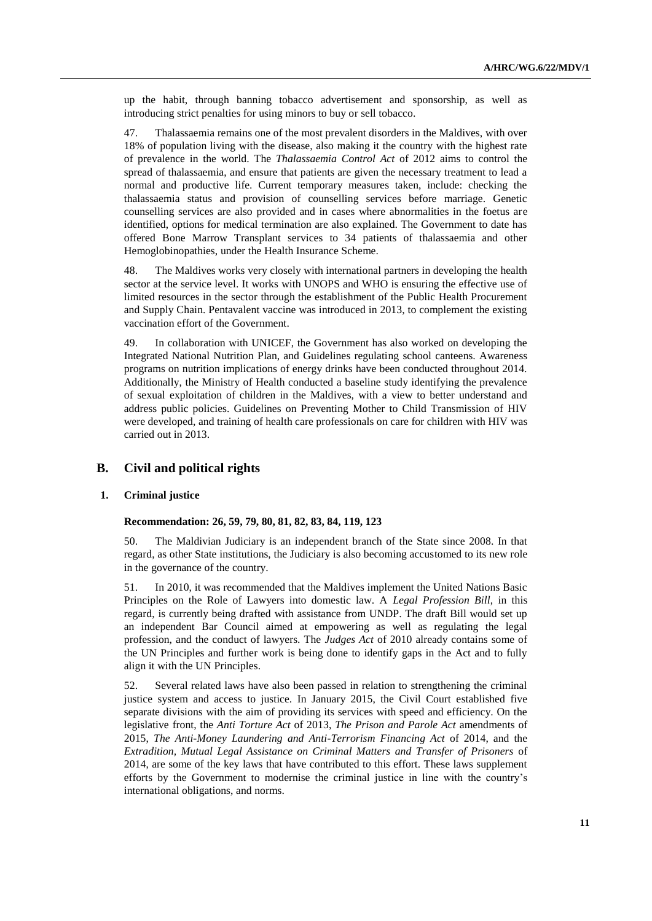up the habit, through banning tobacco advertisement and sponsorship, as well as introducing strict penalties for using minors to buy or sell tobacco.

47. Thalassaemia remains one of the most prevalent disorders in the Maldives, with over 18% of population living with the disease, also making it the country with the highest rate of prevalence in the world. The *Thalassaemia Control Act* of 2012 aims to control the spread of thalassaemia, and ensure that patients are given the necessary treatment to lead a normal and productive life. Current temporary measures taken, include: checking the thalassaemia status and provision of counselling services before marriage. Genetic counselling services are also provided and in cases where abnormalities in the foetus are identified, options for medical termination are also explained. The Government to date has offered Bone Marrow Transplant services to 34 patients of thalassaemia and other Hemoglobinopathies, under the Health Insurance Scheme.

48. The Maldives works very closely with international partners in developing the health sector at the service level. It works with UNOPS and WHO is ensuring the effective use of limited resources in the sector through the establishment of the Public Health Procurement and Supply Chain. Pentavalent vaccine was introduced in 2013, to complement the existing vaccination effort of the Government.

49. In collaboration with UNICEF, the Government has also worked on developing the Integrated National Nutrition Plan, and Guidelines regulating school canteens. Awareness programs on nutrition implications of energy drinks have been conducted throughout 2014. Additionally, the Ministry of Health conducted a baseline study identifying the prevalence of sexual exploitation of children in the Maldives, with a view to better understand and address public policies. Guidelines on Preventing Mother to Child Transmission of HIV were developed, and training of health care professionals on care for children with HIV was carried out in 2013.

# **B. Civil and political rights**

# **1. Criminal justice**

### **Recommendation: 26, 59, 79, 80, 81, 82, 83, 84, 119, 123**

50. The Maldivian Judiciary is an independent branch of the State since 2008. In that regard, as other State institutions, the Judiciary is also becoming accustomed to its new role in the governance of the country.

51. In 2010, it was recommended that the Maldives implement the United Nations Basic Principles on the Role of Lawyers into domestic law. A *Legal Profession Bill*, in this regard, is currently being drafted with assistance from UNDP. The draft Bill would set up an independent Bar Council aimed at empowering as well as regulating the legal profession, and the conduct of lawyers. The *Judges Act* of 2010 already contains some of the UN Principles and further work is being done to identify gaps in the Act and to fully align it with the UN Principles.

52. Several related laws have also been passed in relation to strengthening the criminal justice system and access to justice. In January 2015, the Civil Court established five separate divisions with the aim of providing its services with speed and efficiency. On the legislative front, the *Anti Torture Act* of 2013, *The Prison and Parole Act* amendments of 2015, *The Anti-Money Laundering and Anti-Terrorism Financing Act* of 2014, and the *Extradition, Mutual Legal Assistance on Criminal Matters and Transfer of Prisoners* of 2014, are some of the key laws that have contributed to this effort. These laws supplement efforts by the Government to modernise the criminal justice in line with the country's international obligations, and norms.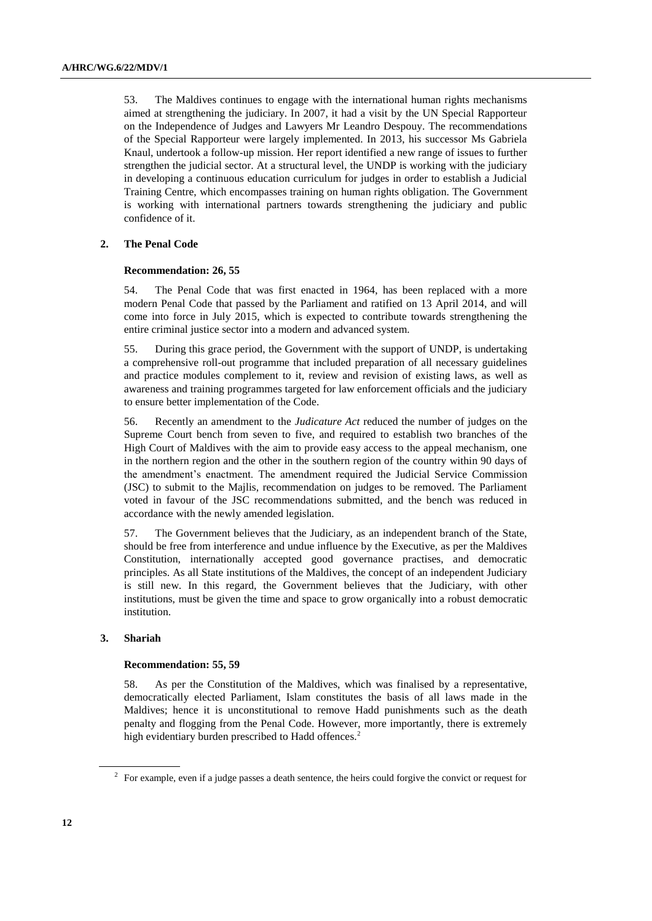53. The Maldives continues to engage with the international human rights mechanisms aimed at strengthening the judiciary. In 2007, it had a visit by the UN Special Rapporteur on the Independence of Judges and Lawyers Mr Leandro Despouy. The recommendations of the Special Rapporteur were largely implemented. In 2013, his successor Ms Gabriela Knaul, undertook a follow-up mission. Her report identified a new range of issues to further strengthen the judicial sector. At a structural level, the UNDP is working with the judiciary in developing a continuous education curriculum for judges in order to establish a Judicial Training Centre, which encompasses training on human rights obligation. The Government is working with international partners towards strengthening the judiciary and public confidence of it.

## **2. The Penal Code**

#### **Recommendation: 26, 55**

54. The Penal Code that was first enacted in 1964, has been replaced with a more modern Penal Code that passed by the Parliament and ratified on 13 April 2014, and will come into force in July 2015, which is expected to contribute towards strengthening the entire criminal justice sector into a modern and advanced system.

55. During this grace period, the Government with the support of UNDP, is undertaking a comprehensive roll-out programme that included preparation of all necessary guidelines and practice modules complement to it, review and revision of existing laws, as well as awareness and training programmes targeted for law enforcement officials and the judiciary to ensure better implementation of the Code.

56. Recently an amendment to the *Judicature Act* reduced the number of judges on the Supreme Court bench from seven to five, and required to establish two branches of the High Court of Maldives with the aim to provide easy access to the appeal mechanism, one in the northern region and the other in the southern region of the country within 90 days of the amendment's enactment. The amendment required the Judicial Service Commission (JSC) to submit to the Majlis, recommendation on judges to be removed. The Parliament voted in favour of the JSC recommendations submitted, and the bench was reduced in accordance with the newly amended legislation.

57. The Government believes that the Judiciary, as an independent branch of the State, should be free from interference and undue influence by the Executive, as per the Maldives Constitution, internationally accepted good governance practises, and democratic principles. As all State institutions of the Maldives, the concept of an independent Judiciary is still new. In this regard, the Government believes that the Judiciary, with other institutions, must be given the time and space to grow organically into a robust democratic institution.

## **3. Shariah**

#### **Recommendation: 55, 59**

58. As per the Constitution of the Maldives, which was finalised by a representative, democratically elected Parliament, Islam constitutes the basis of all laws made in the Maldives; hence it is unconstitutional to remove Hadd punishments such as the death penalty and flogging from the Penal Code. However, more importantly, there is extremely high evidentiary burden prescribed to Hadd offences.<sup>2</sup>

 $2^2$  For example, even if a judge passes a death sentence, the heirs could forgive the convict or request for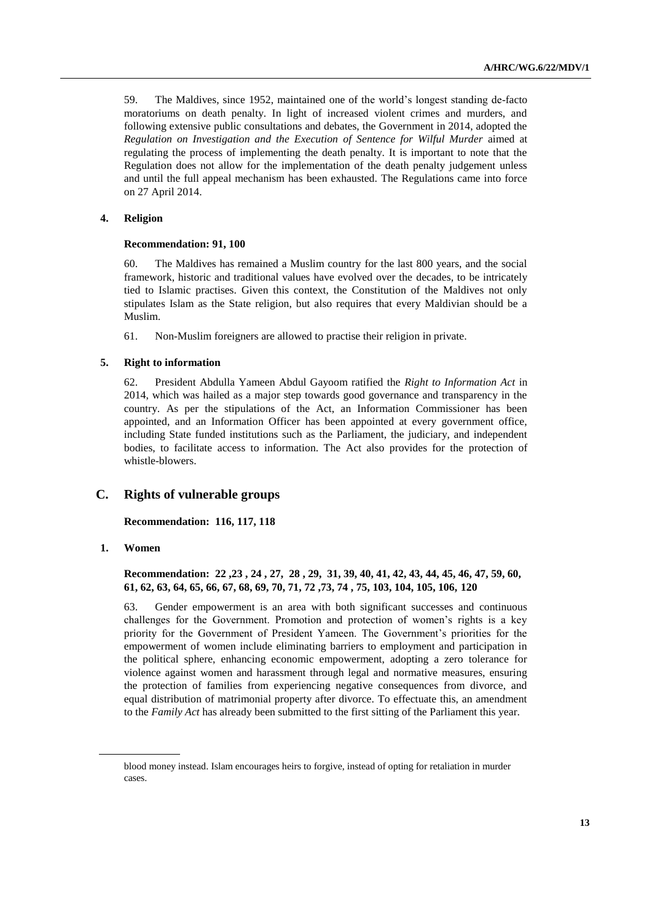59. The Maldives, since 1952, maintained one of the world's longest standing de-facto moratoriums on death penalty. In light of increased violent crimes and murders, and following extensive public consultations and debates, the Government in 2014, adopted the *Regulation on Investigation and the Execution of Sentence for Wilful Murder* aimed at regulating the process of implementing the death penalty. It is important to note that the Regulation does not allow for the implementation of the death penalty judgement unless and until the full appeal mechanism has been exhausted. The Regulations came into force on 27 April 2014.

### **4. Religion**

#### **Recommendation: 91, 100**

60. The Maldives has remained a Muslim country for the last 800 years, and the social framework, historic and traditional values have evolved over the decades, to be intricately tied to Islamic practises. Given this context, the Constitution of the Maldives not only stipulates Islam as the State religion, but also requires that every Maldivian should be a Muslim.

61. Non-Muslim foreigners are allowed to practise their religion in private.

#### **5. Right to information**

62. President Abdulla Yameen Abdul Gayoom ratified the *Right to Information Act* in 2014, which was hailed as a major step towards good governance and transparency in the country. As per the stipulations of the Act, an Information Commissioner has been appointed, and an Information Officer has been appointed at every government office, including State funded institutions such as the Parliament, the judiciary, and independent bodies, to facilitate access to information. The Act also provides for the protection of whistle-blowers.

# **C. Rights of vulnerable groups**

**Recommendation: 116, 117, 118**

**1. Women**

## **Recommendation: 22 ,23 , 24 , 27, 28 , 29, 31, 39, 40, 41, 42, 43, 44, 45, 46, 47, 59, 60, 61, 62, 63, 64, 65, 66, 67, 68, 69, 70, 71, 72 ,73, 74 , 75, 103, 104, 105, 106, 120**

63. Gender empowerment is an area with both significant successes and continuous challenges for the Government. Promotion and protection of women's rights is a key priority for the Government of President Yameen. The Government's priorities for the empowerment of women include eliminating barriers to employment and participation in the political sphere, enhancing economic empowerment, adopting a zero tolerance for violence against women and harassment through legal and normative measures, ensuring the protection of families from experiencing negative consequences from divorce, and equal distribution of matrimonial property after divorce. To effectuate this, an amendment to the *Family Act* has already been submitted to the first sitting of the Parliament this year.

blood money instead. Islam encourages heirs to forgive, instead of opting for retaliation in murder cases.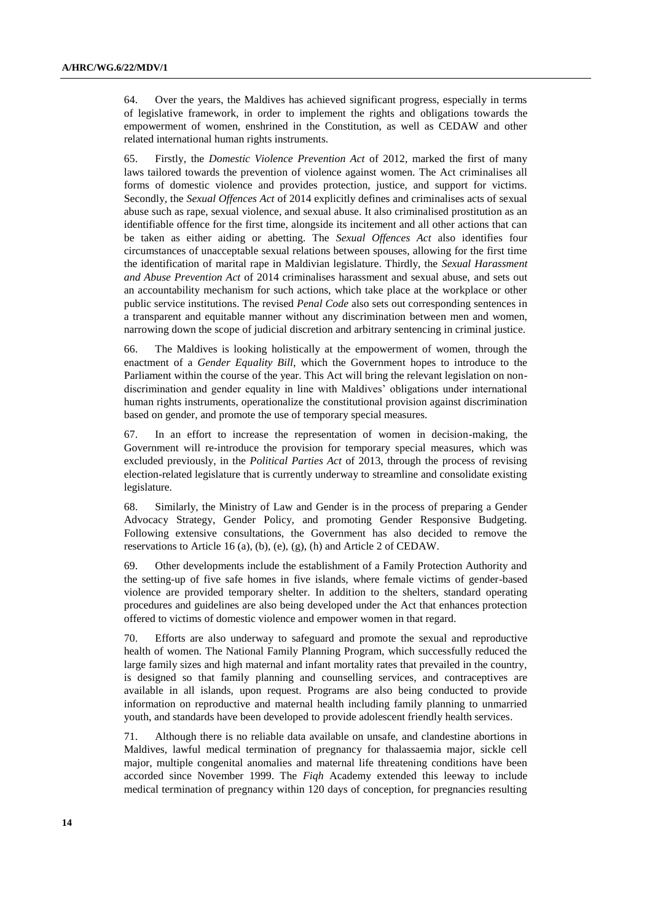64. Over the years, the Maldives has achieved significant progress, especially in terms of legislative framework, in order to implement the rights and obligations towards the empowerment of women, enshrined in the Constitution, as well as CEDAW and other related international human rights instruments.

65. Firstly, the *Domestic Violence Prevention Act* of 2012, marked the first of many laws tailored towards the prevention of violence against women. The Act criminalises all forms of domestic violence and provides protection, justice, and support for victims. Secondly, the *Sexual Offences Act* of 2014 explicitly defines and criminalises acts of sexual abuse such as rape, sexual violence, and sexual abuse. It also criminalised prostitution as an identifiable offence for the first time, alongside its incitement and all other actions that can be taken as either aiding or abetting. The *Sexual Offences Act* also identifies four circumstances of unacceptable sexual relations between spouses, allowing for the first time the identification of marital rape in Maldivian legislature. Thirdly, the *Sexual Harassment and Abuse Prevention Act* of 2014 criminalises harassment and sexual abuse, and sets out an accountability mechanism for such actions, which take place at the workplace or other public service institutions. The revised *Penal Code* also sets out corresponding sentences in a transparent and equitable manner without any discrimination between men and women, narrowing down the scope of judicial discretion and arbitrary sentencing in criminal justice.

66. The Maldives is looking holistically at the empowerment of women, through the enactment of a *Gender Equality Bill*, which the Government hopes to introduce to the Parliament within the course of the year. This Act will bring the relevant legislation on nondiscrimination and gender equality in line with Maldives' obligations under international human rights instruments, operationalize the constitutional provision against discrimination based on gender, and promote the use of temporary special measures.

67. In an effort to increase the representation of women in decision-making, the Government will re-introduce the provision for temporary special measures, which was excluded previously, in the *Political Parties Act* of 2013, through the process of revising election-related legislature that is currently underway to streamline and consolidate existing legislature.

68. Similarly, the Ministry of Law and Gender is in the process of preparing a Gender Advocacy Strategy, Gender Policy, and promoting Gender Responsive Budgeting. Following extensive consultations, the Government has also decided to remove the reservations to Article 16 (a), (b), (e), (g), (h) and Article 2 of CEDAW.

69. Other developments include the establishment of a Family Protection Authority and the setting-up of five safe homes in five islands, where female victims of gender-based violence are provided temporary shelter. In addition to the shelters, standard operating procedures and guidelines are also being developed under the Act that enhances protection offered to victims of domestic violence and empower women in that regard.

70. Efforts are also underway to safeguard and promote the sexual and reproductive health of women. The National Family Planning Program, which successfully reduced the large family sizes and high maternal and infant mortality rates that prevailed in the country, is designed so that family planning and counselling services, and contraceptives are available in all islands, upon request. Programs are also being conducted to provide information on reproductive and maternal health including family planning to unmarried youth, and standards have been developed to provide adolescent friendly health services.

71. Although there is no reliable data available on unsafe, and clandestine abortions in Maldives, lawful medical termination of pregnancy for thalassaemia major, sickle cell major, multiple congenital anomalies and maternal life threatening conditions have been accorded since November 1999. The *Fiqh* Academy extended this leeway to include medical termination of pregnancy within 120 days of conception, for pregnancies resulting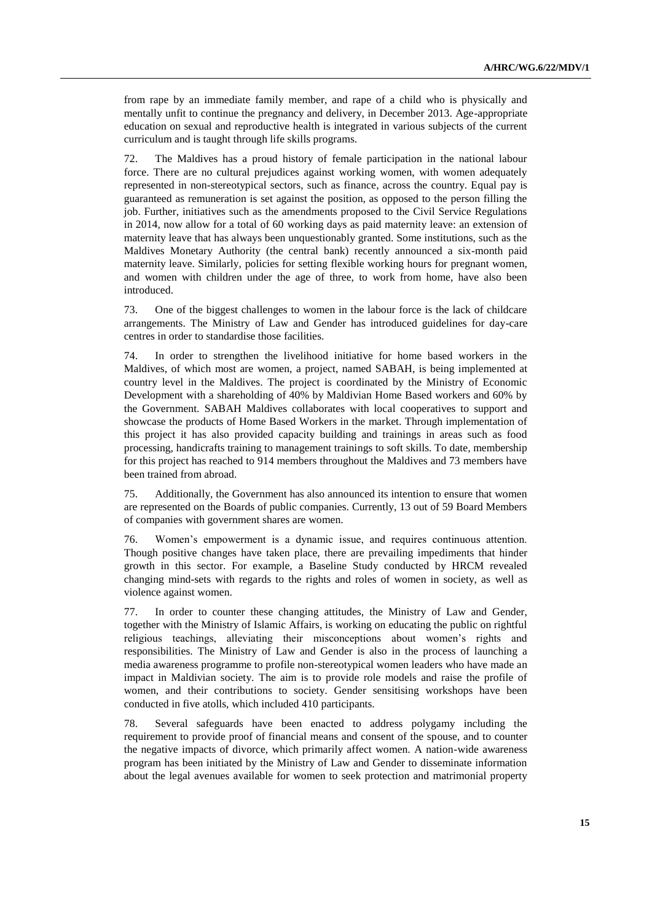from rape by an immediate family member, and rape of a child who is physically and mentally unfit to continue the pregnancy and delivery, in December 2013. Age-appropriate education on sexual and reproductive health is integrated in various subjects of the current curriculum and is taught through life skills programs.

72. The Maldives has a proud history of female participation in the national labour force. There are no cultural prejudices against working women, with women adequately represented in non-stereotypical sectors, such as finance, across the country. Equal pay is guaranteed as remuneration is set against the position, as opposed to the person filling the job. Further, initiatives such as the amendments proposed to the Civil Service Regulations in 2014, now allow for a total of 60 working days as paid maternity leave: an extension of maternity leave that has always been unquestionably granted. Some institutions, such as the Maldives Monetary Authority (the central bank) recently announced a six-month paid maternity leave. Similarly, policies for setting flexible working hours for pregnant women, and women with children under the age of three, to work from home, have also been introduced.

73. One of the biggest challenges to women in the labour force is the lack of childcare arrangements. The Ministry of Law and Gender has introduced guidelines for day-care centres in order to standardise those facilities.

74. In order to strengthen the livelihood initiative for home based workers in the Maldives, of which most are women, a project, named SABAH, is being implemented at country level in the Maldives. The project is coordinated by the Ministry of Economic Development with a shareholding of 40% by Maldivian Home Based workers and 60% by the Government. SABAH Maldives collaborates with local cooperatives to support and showcase the products of Home Based Workers in the market. Through implementation of this project it has also provided capacity building and trainings in areas such as food processing, handicrafts training to management trainings to soft skills. To date, membership for this project has reached to 914 members throughout the Maldives and 73 members have been trained from abroad.

75. Additionally, the Government has also announced its intention to ensure that women are represented on the Boards of public companies. Currently, 13 out of 59 Board Members of companies with government shares are women.

76. Women's empowerment is a dynamic issue, and requires continuous attention. Though positive changes have taken place, there are prevailing impediments that hinder growth in this sector. For example, a Baseline Study conducted by HRCM revealed changing mind-sets with regards to the rights and roles of women in society, as well as violence against women.

77. In order to counter these changing attitudes, the Ministry of Law and Gender, together with the Ministry of Islamic Affairs, is working on educating the public on rightful religious teachings, alleviating their misconceptions about women's rights and responsibilities. The Ministry of Law and Gender is also in the process of launching a media awareness programme to profile non-stereotypical women leaders who have made an impact in Maldivian society. The aim is to provide role models and raise the profile of women, and their contributions to society. Gender sensitising workshops have been conducted in five atolls, which included 410 participants.

78. Several safeguards have been enacted to address polygamy including the requirement to provide proof of financial means and consent of the spouse, and to counter the negative impacts of divorce, which primarily affect women. A nation-wide awareness program has been initiated by the Ministry of Law and Gender to disseminate information about the legal avenues available for women to seek protection and matrimonial property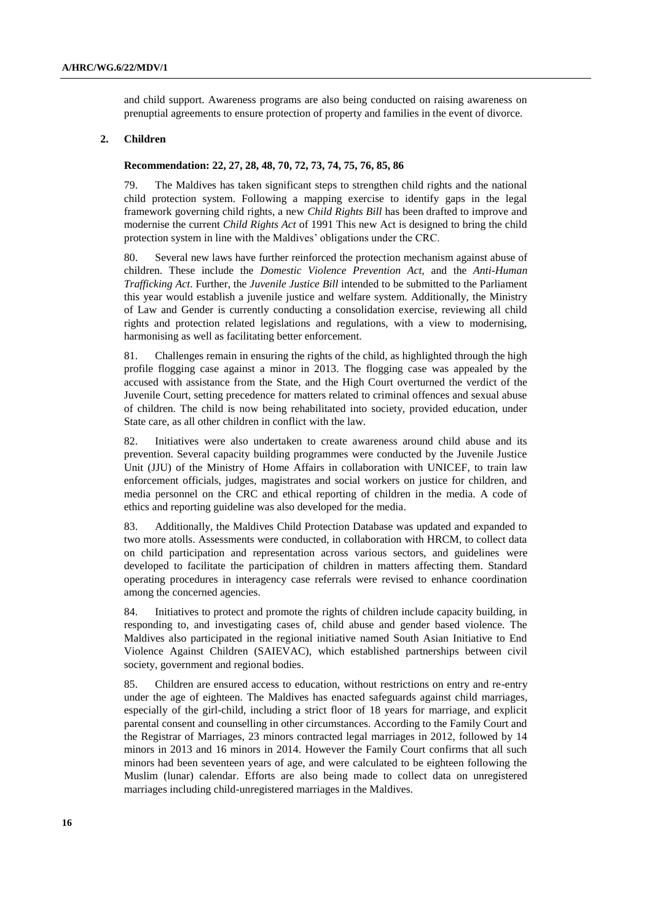and child support. Awareness programs are also being conducted on raising awareness on prenuptial agreements to ensure protection of property and families in the event of divorce.

## **2. Children**

#### **Recommendation: 22, 27, 28, 48, 70, 72, 73, 74, 75, 76, 85, 86**

79. The Maldives has taken significant steps to strengthen child rights and the national child protection system. Following a mapping exercise to identify gaps in the legal framework governing child rights, a new *Child Rights Bill* has been drafted to improve and modernise the current *Child Rights Act* of 1991 This new Act is designed to bring the child protection system in line with the Maldives' obligations under the CRC.

80. Several new laws have further reinforced the protection mechanism against abuse of children. These include the *Domestic Violence Prevention Act,* and the *Anti-Human Trafficking Act*. Further, the *Juvenile Justice Bill* intended to be submitted to the Parliament this year would establish a juvenile justice and welfare system. Additionally, the Ministry of Law and Gender is currently conducting a consolidation exercise, reviewing all child rights and protection related legislations and regulations, with a view to modernising, harmonising as well as facilitating better enforcement.

81. Challenges remain in ensuring the rights of the child, as highlighted through the high profile flogging case against a minor in 2013. The flogging case was appealed by the accused with assistance from the State, and the High Court overturned the verdict of the Juvenile Court, setting precedence for matters related to criminal offences and sexual abuse of children. The child is now being rehabilitated into society, provided education, under State care, as all other children in conflict with the law.

82. Initiatives were also undertaken to create awareness around child abuse and its prevention. Several capacity building programmes were conducted by the Juvenile Justice Unit (JJU) of the Ministry of Home Affairs in collaboration with UNICEF, to train law enforcement officials, judges, magistrates and social workers on justice for children, and media personnel on the CRC and ethical reporting of children in the media. A code of ethics and reporting guideline was also developed for the media.

83. Additionally, the Maldives Child Protection Database was updated and expanded to two more atolls. Assessments were conducted, in collaboration with HRCM, to collect data on child participation and representation across various sectors, and guidelines were developed to facilitate the participation of children in matters affecting them. Standard operating procedures in interagency case referrals were revised to enhance coordination among the concerned agencies.

84. Initiatives to protect and promote the rights of children include capacity building, in responding to, and investigating cases of, child abuse and gender based violence. The Maldives also participated in the regional initiative named South Asian Initiative to End Violence Against Children (SAIEVAC), which established partnerships between civil society, government and regional bodies.

85. Children are ensured access to education, without restrictions on entry and re-entry under the age of eighteen. The Maldives has enacted safeguards against child marriages, especially of the girl-child, including a strict floor of 18 years for marriage, and explicit parental consent and counselling in other circumstances. According to the Family Court and the Registrar of Marriages, 23 minors contracted legal marriages in 2012, followed by 14 minors in 2013 and 16 minors in 2014. However the Family Court confirms that all such minors had been seventeen years of age, and were calculated to be eighteen following the Muslim (lunar) calendar. Efforts are also being made to collect data on unregistered marriages including child-unregistered marriages in the Maldives.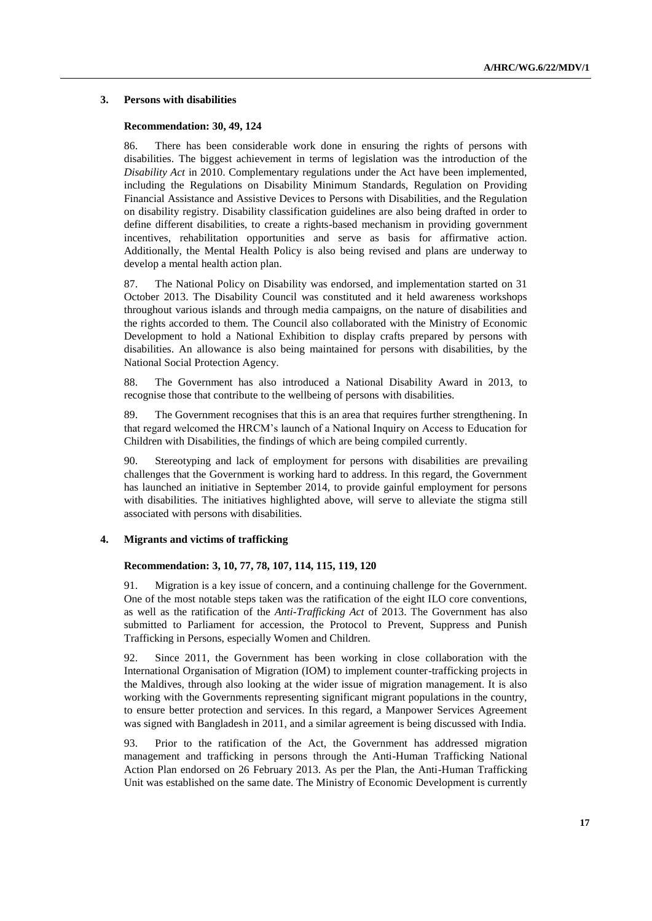## **3. Persons with disabilities**

## **Recommendation: 30, 49, 124**

86. There has been considerable work done in ensuring the rights of persons with disabilities. The biggest achievement in terms of legislation was the introduction of the *Disability Act* in 2010. Complementary regulations under the Act have been implemented, including the Regulations on Disability Minimum Standards, Regulation on Providing Financial Assistance and Assistive Devices to Persons with Disabilities, and the Regulation on disability registry. Disability classification guidelines are also being drafted in order to define different disabilities, to create a rights-based mechanism in providing government incentives, rehabilitation opportunities and serve as basis for affirmative action. Additionally, the Mental Health Policy is also being revised and plans are underway to develop a mental health action plan.

87. The National Policy on Disability was endorsed, and implementation started on 31 October 2013. The Disability Council was constituted and it held awareness workshops throughout various islands and through media campaigns, on the nature of disabilities and the rights accorded to them. The Council also collaborated with the Ministry of Economic Development to hold a National Exhibition to display crafts prepared by persons with disabilities. An allowance is also being maintained for persons with disabilities, by the National Social Protection Agency.

88. The Government has also introduced a National Disability Award in 2013, to recognise those that contribute to the wellbeing of persons with disabilities.

89. The Government recognises that this is an area that requires further strengthening. In that regard welcomed the HRCM's launch of a National Inquiry on Access to Education for Children with Disabilities, the findings of which are being compiled currently.

90. Stereotyping and lack of employment for persons with disabilities are prevailing challenges that the Government is working hard to address. In this regard, the Government has launched an initiative in September 2014, to provide gainful employment for persons with disabilities. The initiatives highlighted above, will serve to alleviate the stigma still associated with persons with disabilities.

### **4. Migrants and victims of trafficking**

#### **Recommendation: 3, 10, 77, 78, 107, 114, 115, 119, 120**

91. Migration is a key issue of concern, and a continuing challenge for the Government. One of the most notable steps taken was the ratification of the eight ILO core conventions, as well as the ratification of the *Anti-Trafficking Act* of 2013. The Government has also submitted to Parliament for accession, the Protocol to Prevent, Suppress and Punish Trafficking in Persons, especially Women and Children.

92. Since 2011, the Government has been working in close collaboration with the International Organisation of Migration (IOM) to implement counter-trafficking projects in the Maldives, through also looking at the wider issue of migration management. It is also working with the Governments representing significant migrant populations in the country, to ensure better protection and services. In this regard, a Manpower Services Agreement was signed with Bangladesh in 2011, and a similar agreement is being discussed with India.

93. Prior to the ratification of the Act, the Government has addressed migration management and trafficking in persons through the Anti-Human Trafficking National Action Plan endorsed on 26 February 2013. As per the Plan, the Anti-Human Trafficking Unit was established on the same date. The Ministry of Economic Development is currently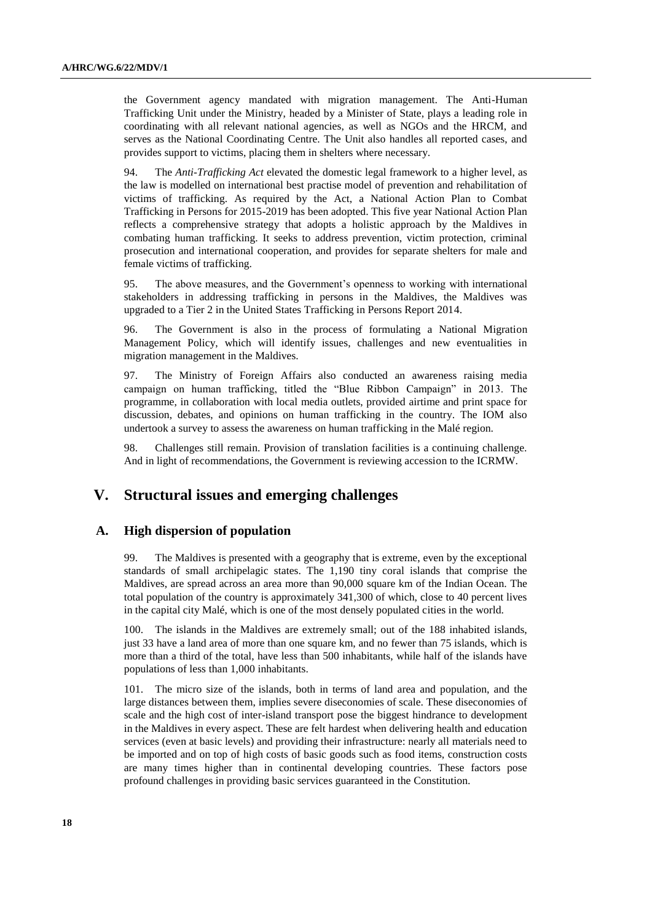the Government agency mandated with migration management. The Anti-Human Trafficking Unit under the Ministry, headed by a Minister of State, plays a leading role in coordinating with all relevant national agencies, as well as NGOs and the HRCM, and serves as the National Coordinating Centre. The Unit also handles all reported cases, and provides support to victims, placing them in shelters where necessary.

94. The *Anti-Trafficking Act* elevated the domestic legal framework to a higher level, as the law is modelled on international best practise model of prevention and rehabilitation of victims of trafficking. As required by the Act, a National Action Plan to Combat Trafficking in Persons for 2015-2019 has been adopted. This five year National Action Plan reflects a comprehensive strategy that adopts a holistic approach by the Maldives in combating human trafficking. It seeks to address prevention, victim protection, criminal prosecution and international cooperation, and provides for separate shelters for male and female victims of trafficking.

95. The above measures, and the Government's openness to working with international stakeholders in addressing trafficking in persons in the Maldives, the Maldives was upgraded to a Tier 2 in the United States Trafficking in Persons Report 2014.

96. The Government is also in the process of formulating a National Migration Management Policy, which will identify issues, challenges and new eventualities in migration management in the Maldives.

97. The Ministry of Foreign Affairs also conducted an awareness raising media campaign on human trafficking, titled the "Blue Ribbon Campaign" in 2013. The programme, in collaboration with local media outlets, provided airtime and print space for discussion, debates, and opinions on human trafficking in the country. The IOM also undertook a survey to assess the awareness on human trafficking in the Malé region.

98. Challenges still remain. Provision of translation facilities is a continuing challenge. And in light of recommendations, the Government is reviewing accession to the ICRMW.

# **V. Structural issues and emerging challenges**

## **A. High dispersion of population**

99. The Maldives is presented with a geography that is extreme, even by the exceptional standards of small archipelagic states. The 1,190 tiny coral islands that comprise the Maldives, are spread across an area more than 90,000 square km of the Indian Ocean. The total population of the country is approximately 341,300 of which, close to 40 percent lives in the capital city Malé, which is one of the most densely populated cities in the world.

100. The islands in the Maldives are extremely small; out of the 188 inhabited islands, just 33 have a land area of more than one square km, and no fewer than 75 islands, which is more than a third of the total, have less than 500 inhabitants, while half of the islands have populations of less than 1,000 inhabitants.

101. The micro size of the islands, both in terms of land area and population, and the large distances between them, implies severe diseconomies of scale. These diseconomies of scale and the high cost of inter-island transport pose the biggest hindrance to development in the Maldives in every aspect. These are felt hardest when delivering health and education services (even at basic levels) and providing their infrastructure: nearly all materials need to be imported and on top of high costs of basic goods such as food items, construction costs are many times higher than in continental developing countries. These factors pose profound challenges in providing basic services guaranteed in the Constitution.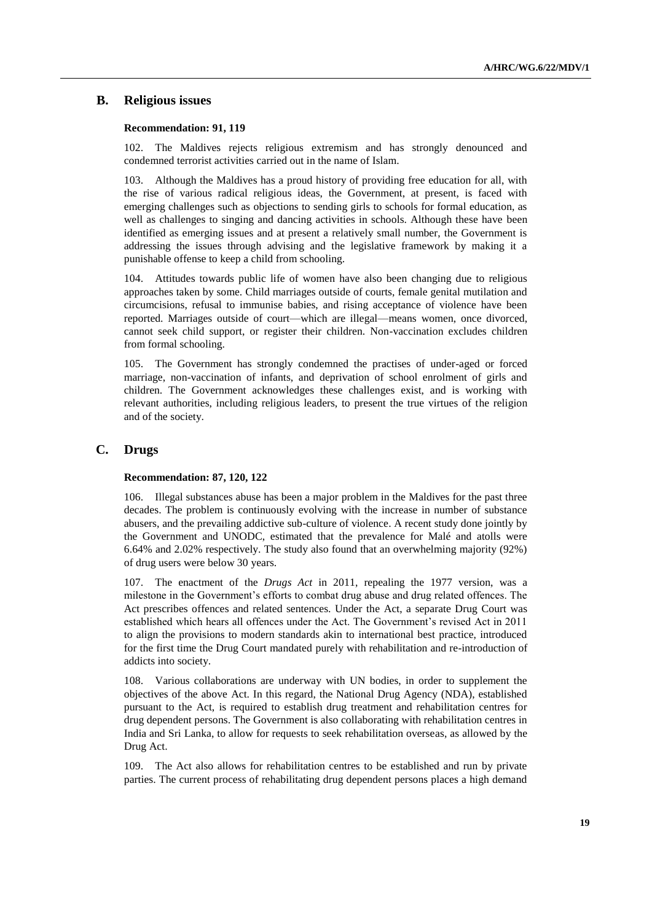# **B. Religious issues**

#### **Recommendation: 91, 119**

102. The Maldives rejects religious extremism and has strongly denounced and condemned terrorist activities carried out in the name of Islam.

103. Although the Maldives has a proud history of providing free education for all, with the rise of various radical religious ideas, the Government, at present, is faced with emerging challenges such as objections to sending girls to schools for formal education, as well as challenges to singing and dancing activities in schools. Although these have been identified as emerging issues and at present a relatively small number, the Government is addressing the issues through advising and the legislative framework by making it a punishable offense to keep a child from schooling.

104. Attitudes towards public life of women have also been changing due to religious approaches taken by some. Child marriages outside of courts, female genital mutilation and circumcisions, refusal to immunise babies, and rising acceptance of violence have been reported. Marriages outside of court—which are illegal—means women, once divorced, cannot seek child support, or register their children. Non-vaccination excludes children from formal schooling.

105. The Government has strongly condemned the practises of under-aged or forced marriage, non-vaccination of infants, and deprivation of school enrolment of girls and children. The Government acknowledges these challenges exist, and is working with relevant authorities, including religious leaders, to present the true virtues of the religion and of the society.

# **C. Drugs**

#### **Recommendation: 87, 120, 122**

106. Illegal substances abuse has been a major problem in the Maldives for the past three decades. The problem is continuously evolving with the increase in number of substance abusers, and the prevailing addictive sub-culture of violence. A recent study done jointly by the Government and UNODC, estimated that the prevalence for Malé and atolls were 6.64% and 2.02% respectively. The study also found that an overwhelming majority (92%) of drug users were below 30 years.

107. The enactment of the *Drugs Act* in 2011, repealing the 1977 version, was a milestone in the Government's efforts to combat drug abuse and drug related offences. The Act prescribes offences and related sentences. Under the Act, a separate Drug Court was established which hears all offences under the Act. The Government's revised Act in 2011 to align the provisions to modern standards akin to international best practice, introduced for the first time the Drug Court mandated purely with rehabilitation and re-introduction of addicts into society.

108. Various collaborations are underway with UN bodies, in order to supplement the objectives of the above Act. In this regard, the National Drug Agency (NDA), established pursuant to the Act, is required to establish drug treatment and rehabilitation centres for drug dependent persons. The Government is also collaborating with rehabilitation centres in India and Sri Lanka, to allow for requests to seek rehabilitation overseas, as allowed by the Drug Act.

109. The Act also allows for rehabilitation centres to be established and run by private parties. The current process of rehabilitating drug dependent persons places a high demand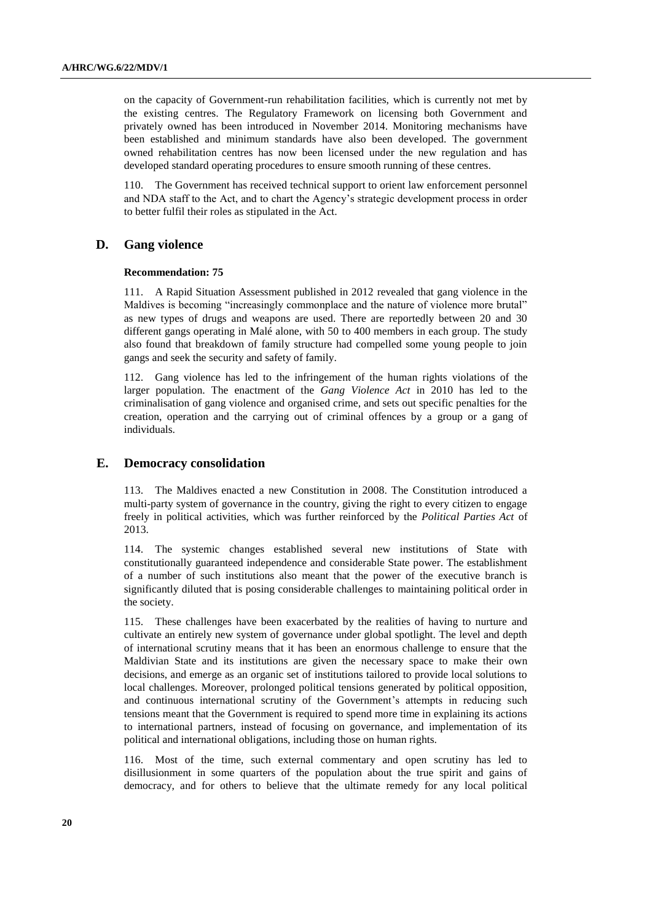on the capacity of Government-run rehabilitation facilities, which is currently not met by the existing centres. The Regulatory Framework on licensing both Government and privately owned has been introduced in November 2014. Monitoring mechanisms have been established and minimum standards have also been developed. The government owned rehabilitation centres has now been licensed under the new regulation and has developed standard operating procedures to ensure smooth running of these centres.

110. The Government has received technical support to orient law enforcement personnel and NDA staff to the Act, and to chart the Agency's strategic development process in order to better fulfil their roles as stipulated in the Act.

# **D. Gang violence**

#### **Recommendation: 75**

111. A Rapid Situation Assessment published in 2012 revealed that gang violence in the Maldives is becoming "increasingly commonplace and the nature of violence more brutal" as new types of drugs and weapons are used. There are reportedly between 20 and 30 different gangs operating in Malé alone, with 50 to 400 members in each group. The study also found that breakdown of family structure had compelled some young people to join gangs and seek the security and safety of family.

112. Gang violence has led to the infringement of the human rights violations of the larger population. The enactment of the *Gang Violence Act* in 2010 has led to the criminalisation of gang violence and organised crime, and sets out specific penalties for the creation, operation and the carrying out of criminal offences by a group or a gang of individuals.

### **E. Democracy consolidation**

113. The Maldives enacted a new Constitution in 2008. The Constitution introduced a multi-party system of governance in the country, giving the right to every citizen to engage freely in political activities, which was further reinforced by the *Political Parties Act* of 2013.

114. The systemic changes established several new institutions of State with constitutionally guaranteed independence and considerable State power. The establishment of a number of such institutions also meant that the power of the executive branch is significantly diluted that is posing considerable challenges to maintaining political order in the society.

115. These challenges have been exacerbated by the realities of having to nurture and cultivate an entirely new system of governance under global spotlight. The level and depth of international scrutiny means that it has been an enormous challenge to ensure that the Maldivian State and its institutions are given the necessary space to make their own decisions, and emerge as an organic set of institutions tailored to provide local solutions to local challenges. Moreover, prolonged political tensions generated by political opposition, and continuous international scrutiny of the Government's attempts in reducing such tensions meant that the Government is required to spend more time in explaining its actions to international partners, instead of focusing on governance, and implementation of its political and international obligations, including those on human rights.

116. Most of the time, such external commentary and open scrutiny has led to disillusionment in some quarters of the population about the true spirit and gains of democracy, and for others to believe that the ultimate remedy for any local political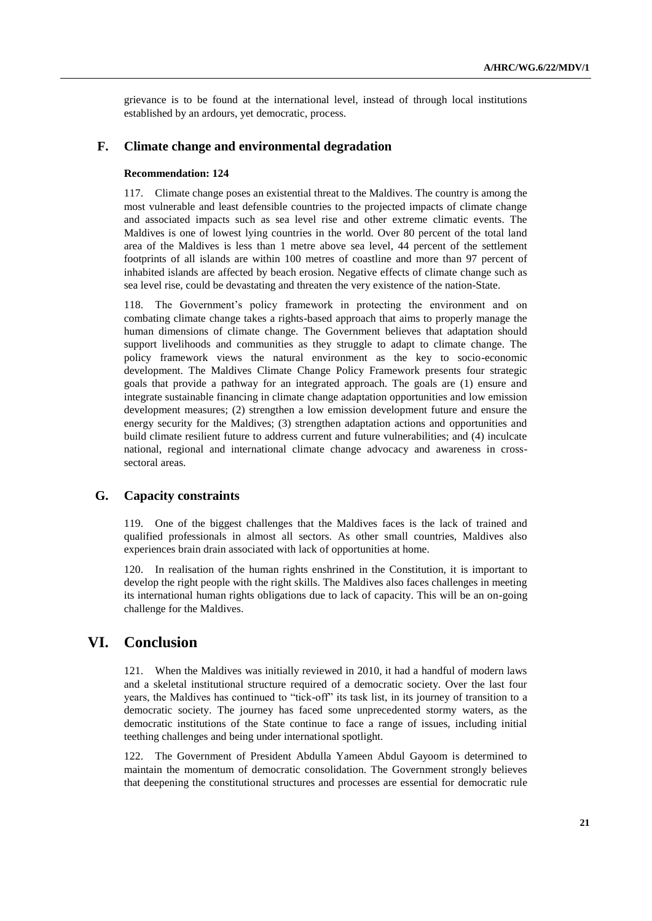grievance is to be found at the international level, instead of through local institutions established by an ardours, yet democratic, process.

# **F. Climate change and environmental degradation**

### **Recommendation: 124**

117. Climate change poses an existential threat to the Maldives. The country is among the most vulnerable and least defensible countries to the projected impacts of climate change and associated impacts such as sea level rise and other extreme climatic events. The Maldives is one of lowest lying countries in the world. Over 80 percent of the total land area of the Maldives is less than 1 metre above sea level, 44 percent of the settlement footprints of all islands are within 100 metres of coastline and more than 97 percent of inhabited islands are affected by beach erosion. Negative effects of climate change such as sea level rise, could be devastating and threaten the very existence of the nation-State.

118. The Government's policy framework in protecting the environment and on combating climate change takes a rights-based approach that aims to properly manage the human dimensions of climate change. The Government believes that adaptation should support livelihoods and communities as they struggle to adapt to climate change. The policy framework views the natural environment as the key to socio-economic development. The Maldives Climate Change Policy Framework presents four strategic goals that provide a pathway for an integrated approach. The goals are (1) ensure and integrate sustainable financing in climate change adaptation opportunities and low emission development measures; (2) strengthen a low emission development future and ensure the energy security for the Maldives; (3) strengthen adaptation actions and opportunities and build climate resilient future to address current and future vulnerabilities; and (4) inculcate national, regional and international climate change advocacy and awareness in crosssectoral areas.

# **G. Capacity constraints**

119. One of the biggest challenges that the Maldives faces is the lack of trained and qualified professionals in almost all sectors. As other small countries, Maldives also experiences brain drain associated with lack of opportunities at home.

120. In realisation of the human rights enshrined in the Constitution, it is important to develop the right people with the right skills. The Maldives also faces challenges in meeting its international human rights obligations due to lack of capacity. This will be an on-going challenge for the Maldives.

# **VI. Conclusion**

121. When the Maldives was initially reviewed in 2010, it had a handful of modern laws and a skeletal institutional structure required of a democratic society. Over the last four years, the Maldives has continued to "tick-off" its task list, in its journey of transition to a democratic society. The journey has faced some unprecedented stormy waters, as the democratic institutions of the State continue to face a range of issues, including initial teething challenges and being under international spotlight.

122. The Government of President Abdulla Yameen Abdul Gayoom is determined to maintain the momentum of democratic consolidation. The Government strongly believes that deepening the constitutional structures and processes are essential for democratic rule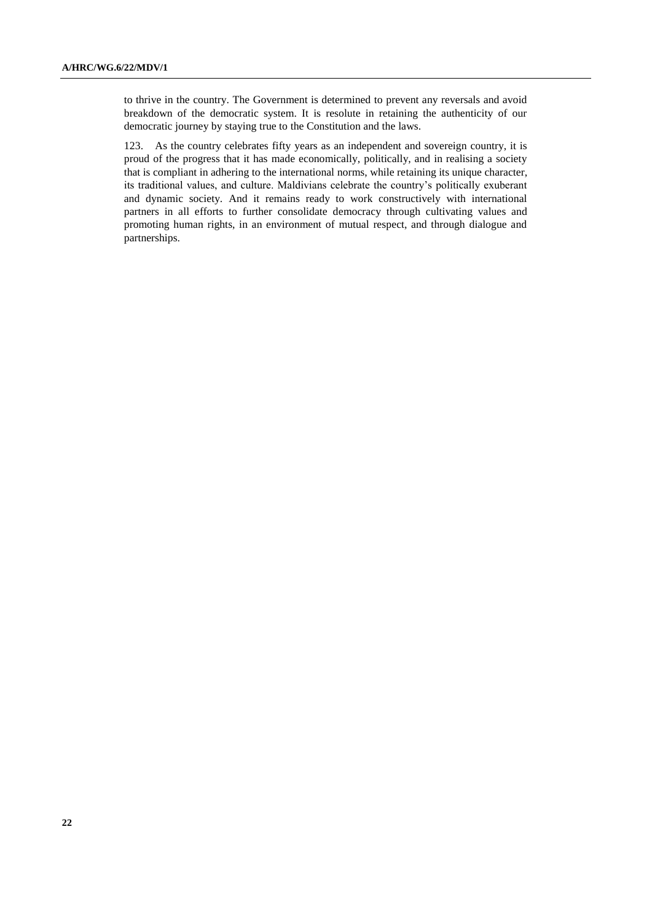to thrive in the country. The Government is determined to prevent any reversals and avoid breakdown of the democratic system. It is resolute in retaining the authenticity of our democratic journey by staying true to the Constitution and the laws.

123. As the country celebrates fifty years as an independent and sovereign country, it is proud of the progress that it has made economically, politically, and in realising a society that is compliant in adhering to the international norms, while retaining its unique character, its traditional values, and culture. Maldivians celebrate the country's politically exuberant and dynamic society. And it remains ready to work constructively with international partners in all efforts to further consolidate democracy through cultivating values and promoting human rights, in an environment of mutual respect, and through dialogue and partnerships.